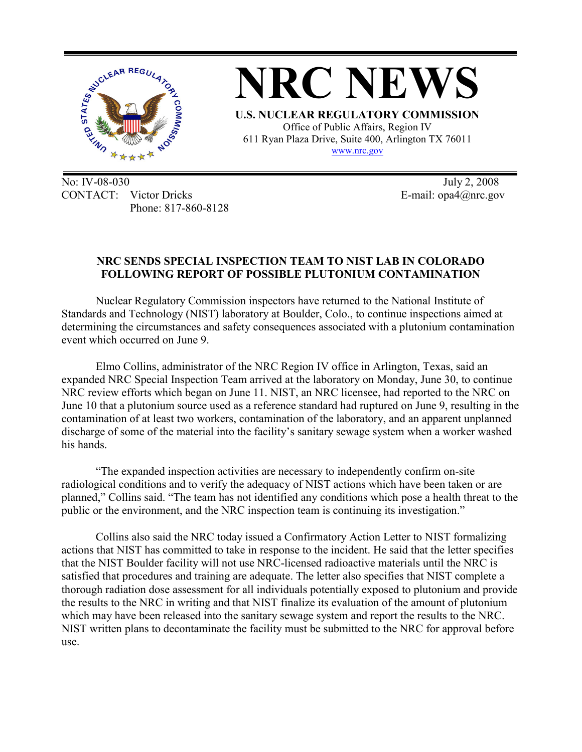

**NRC NEWS U.S. NUCLEAR REGULATORY COMMISSION**  Office of Public Affairs, Region IV 611 Ryan Plaza Drive, Suite 400, Arlington TX 76011

www.nrc.gov

No: IV-08-030 July 2, 2008 CONTACT: Victor Dricks E-mail: opa4@nrc.gov Phone: 817-860-8128

## **NRC SENDS SPECIAL INSPECTION TEAM TO NIST LAB IN COLORADO FOLLOWING REPORT OF POSSIBLE PLUTONIUM CONTAMINATION**

Nuclear Regulatory Commission inspectors have returned to the National Institute of Standards and Technology (NIST) laboratory at Boulder, Colo., to continue inspections aimed at determining the circumstances and safety consequences associated with a plutonium contamination event which occurred on June 9.

 Elmo Collins, administrator of the NRC Region IV office in Arlington, Texas, said an expanded NRC Special Inspection Team arrived at the laboratory on Monday, June 30, to continue NRC review efforts which began on June 11. NIST, an NRC licensee, had reported to the NRC on June 10 that a plutonium source used as a reference standard had ruptured on June 9, resulting in the contamination of at least two workers, contamination of the laboratory, and an apparent unplanned discharge of some of the material into the facility's sanitary sewage system when a worker washed his hands.

"The expanded inspection activities are necessary to independently confirm on-site radiological conditions and to verify the adequacy of NIST actions which have been taken or are planned," Collins said. "The team has not identified any conditions which pose a health threat to the public or the environment, and the NRC inspection team is continuing its investigation."

 Collins also said the NRC today issued a Confirmatory Action Letter to NIST formalizing actions that NIST has committed to take in response to the incident. He said that the letter specifies that the NIST Boulder facility will not use NRC-licensed radioactive materials until the NRC is satisfied that procedures and training are adequate. The letter also specifies that NIST complete a thorough radiation dose assessment for all individuals potentially exposed to plutonium and provide the results to the NRC in writing and that NIST finalize its evaluation of the amount of plutonium which may have been released into the sanitary sewage system and report the results to the NRC. NIST written plans to decontaminate the facility must be submitted to the NRC for approval before use.